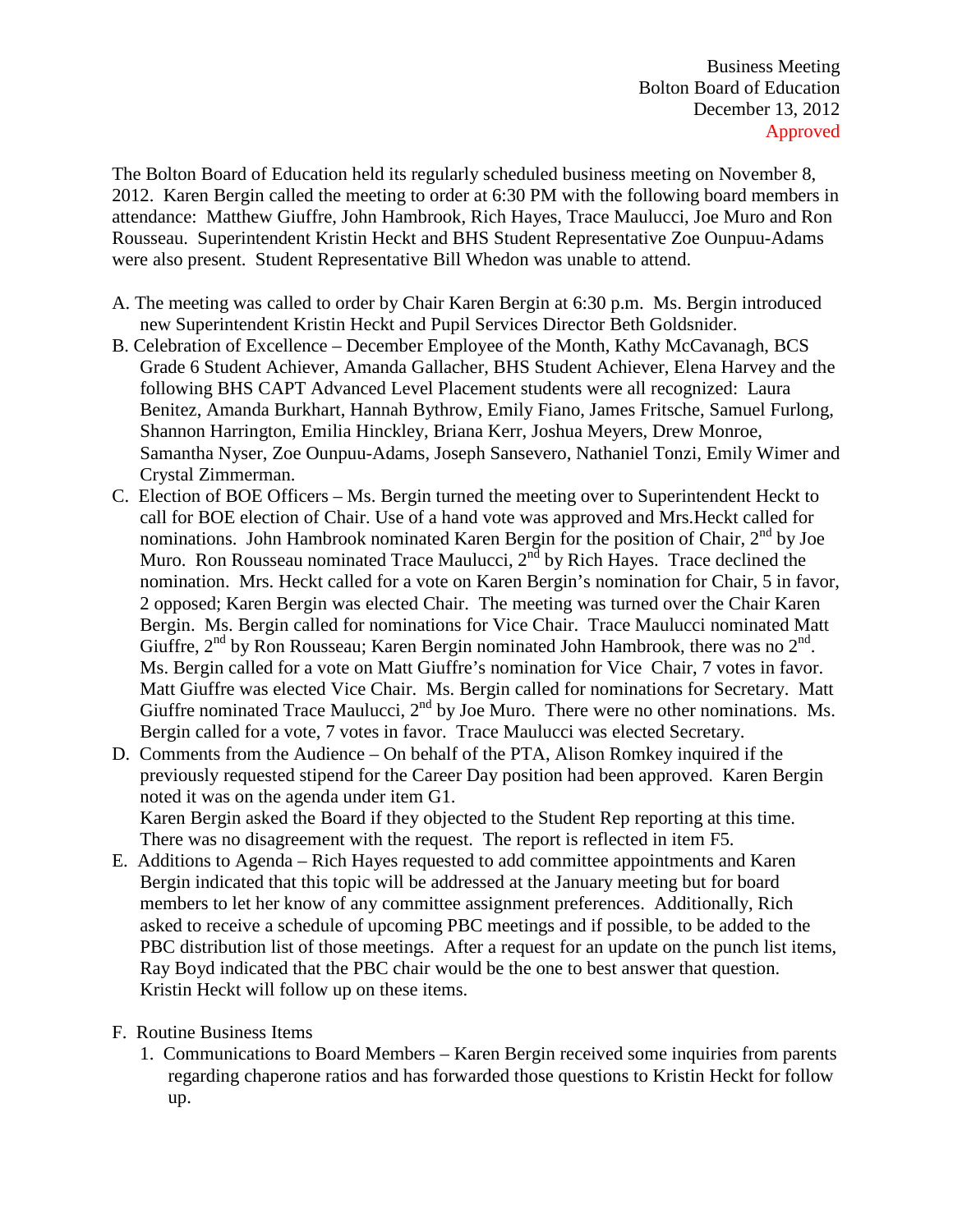The Bolton Board of Education held its regularly scheduled business meeting on November 8, 2012. Karen Bergin called the meeting to order at 6:30 PM with the following board members in attendance: Matthew Giuffre, John Hambrook, Rich Hayes, Trace Maulucci, Joe Muro and Ron Rousseau. Superintendent Kristin Heckt and BHS Student Representative Zoe Ounpuu-Adams were also present. Student Representative Bill Whedon was unable to attend.

- A. The meeting was called to order by Chair Karen Bergin at 6:30 p.m. Ms. Bergin introduced new Superintendent Kristin Heckt and Pupil Services Director Beth Goldsnider.
- B. Celebration of Excellence December Employee of the Month, Kathy McCavanagh, BCS Grade 6 Student Achiever, Amanda Gallacher, BHS Student Achiever, Elena Harvey and the following BHS CAPT Advanced Level Placement students were all recognized: Laura Benitez, Amanda Burkhart, Hannah Bythrow, Emily Fiano, James Fritsche, Samuel Furlong, Shannon Harrington, Emilia Hinckley, Briana Kerr, Joshua Meyers, Drew Monroe, Samantha Nyser, Zoe Ounpuu-Adams, Joseph Sansevero, Nathaniel Tonzi, Emily Wimer and Crystal Zimmerman.
- C. Election of BOE Officers Ms. Bergin turned the meeting over to Superintendent Heckt to call for BOE election of Chair. Use of a hand vote was approved and Mrs.Heckt called for nominations. John Hambrook nominated Karen Bergin for the position of Chair, 2<sup>nd</sup> by Joe Muro. Ron Rousseau nominated Trace Maulucci,  $2^{nd}$  by Rich Hayes. Trace declined the nomination. Mrs. Heckt called for a vote on Karen Bergin's nomination for Chair, 5 in favor, 2 opposed; Karen Bergin was elected Chair. The meeting was turned over the Chair Karen Bergin. Ms. Bergin called for nominations for Vice Chair. Trace Maulucci nominated Matt Giuffre,  $2<sup>nd</sup>$  by Ron Rousseau; Karen Bergin nominated John Hambrook, there was no  $2<sup>nd</sup>$ . Ms. Bergin called for a vote on Matt Giuffre's nomination for Vice Chair, 7 votes in favor. Matt Giuffre was elected Vice Chair. Ms. Bergin called for nominations for Secretary. Matt Giuffre nominated Trace Maulucci,  $2<sup>nd</sup>$  by Joe Muro. There were no other nominations. Ms. Bergin called for a vote, 7 votes in favor. Trace Maulucci was elected Secretary.
- D. Comments from the Audience On behalf of the PTA, Alison Romkey inquired if the previously requested stipend for the Career Day position had been approved. Karen Bergin noted it was on the agenda under item G1. Karen Bergin asked the Board if they objected to the Student Rep reporting at this time.

There was no disagreement with the request. The report is reflected in item F5.

- E. Additions to Agenda Rich Hayes requested to add committee appointments and Karen Bergin indicated that this topic will be addressed at the January meeting but for board members to let her know of any committee assignment preferences. Additionally, Rich asked to receive a schedule of upcoming PBC meetings and if possible, to be added to the PBC distribution list of those meetings. After a request for an update on the punch list items, Ray Boyd indicated that the PBC chair would be the one to best answer that question. Kristin Heckt will follow up on these items.
- F. Routine Business Items
	- 1. Communications to Board Members Karen Bergin received some inquiries from parents regarding chaperone ratios and has forwarded those questions to Kristin Heckt for follow up.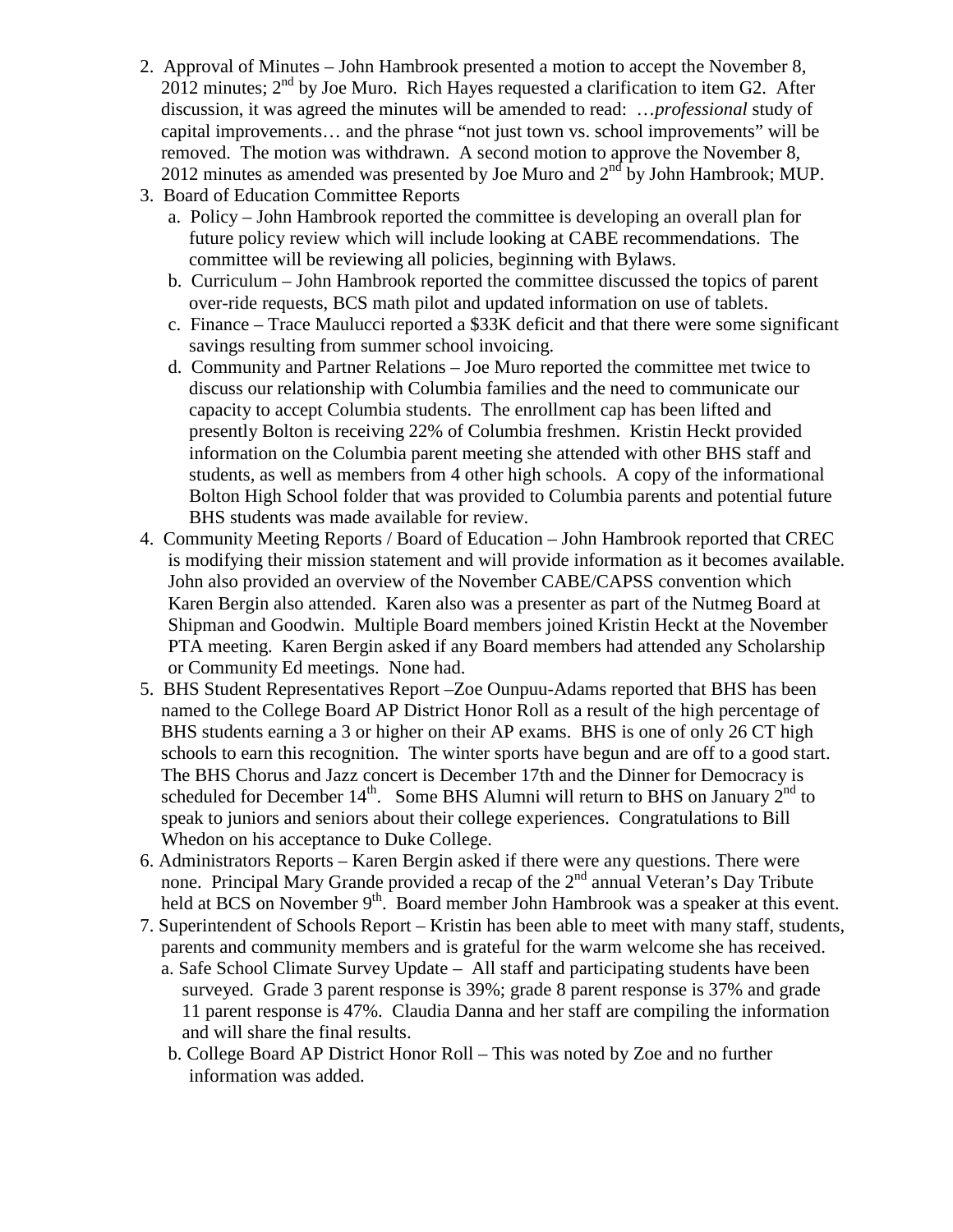- 2. Approval of Minutes John Hambrook presented a motion to accept the November 8,  $2012$  minutes;  $2<sup>nd</sup>$  by Joe Muro. Rich Hayes requested a clarification to item G2. After discussion, it was agreed the minutes will be amended to read: …*professional* study of capital improvements… and the phrase "not just town vs. school improvements" will be removed. The motion was withdrawn. A second motion to approve the November 8, 2012 minutes as amended was presented by Joe Muro and  $2<sup>nd</sup>$  by John Hambrook; MUP.
- 3. Board of Education Committee Reports
	- a. Policy John Hambrook reported the committee is developing an overall plan for future policy review which will include looking at CABE recommendations. The committee will be reviewing all policies, beginning with Bylaws.
	- b. Curriculum John Hambrook reported the committee discussed the topics of parent over-ride requests, BCS math pilot and updated information on use of tablets.
	- c. Finance Trace Maulucci reported a \$33K deficit and that there were some significant savings resulting from summer school invoicing.
	- d. Community and Partner Relations Joe Muro reported the committee met twice to discuss our relationship with Columbia families and the need to communicate our capacity to accept Columbia students. The enrollment cap has been lifted and presently Bolton is receiving 22% of Columbia freshmen. Kristin Heckt provided information on the Columbia parent meeting she attended with other BHS staff and students, as well as members from 4 other high schools. A copy of the informational Bolton High School folder that was provided to Columbia parents and potential future BHS students was made available for review.
- 4. Community Meeting Reports / Board of Education John Hambrook reported that CREC is modifying their mission statement and will provide information as it becomes available. John also provided an overview of the November CABE/CAPSS convention which Karen Bergin also attended. Karen also was a presenter as part of the Nutmeg Board at Shipman and Goodwin. Multiple Board members joined Kristin Heckt at the November PTA meeting. Karen Bergin asked if any Board members had attended any Scholarship or Community Ed meetings. None had.
- 5. BHS Student Representatives Report –Zoe Ounpuu-Adams reported that BHS has been named to the College Board AP District Honor Roll as a result of the high percentage of BHS students earning a 3 or higher on their AP exams. BHS is one of only 26 CT high schools to earn this recognition. The winter sports have begun and are off to a good start. The BHS Chorus and Jazz concert is December 17th and the Dinner for Democracy is scheduled for December  $14<sup>th</sup>$ . Some BHS Alumni will return to BHS on January  $2<sup>nd</sup>$  to speak to juniors and seniors about their college experiences. Congratulations to Bill Whedon on his acceptance to Duke College.
- 6. Administrators Reports Karen Bergin asked if there were any questions. There were none. Principal Mary Grande provided a recap of the  $2<sup>nd</sup>$  annual Veteran's Day Tribute held at BCS on November 9<sup>th</sup>. Board member John Hambrook was a speaker at this event.
- 7. Superintendent of Schools Report Kristin has been able to meet with many staff, students, parents and community members and is grateful for the warm welcome she has received.
	- a. Safe School Climate Survey Update All staff and participating students have been surveyed. Grade 3 parent response is 39%; grade 8 parent response is 37% and grade 11 parent response is 47%. Claudia Danna and her staff are compiling the information and will share the final results.
	- b. College Board AP District Honor Roll This was noted by Zoe and no further information was added.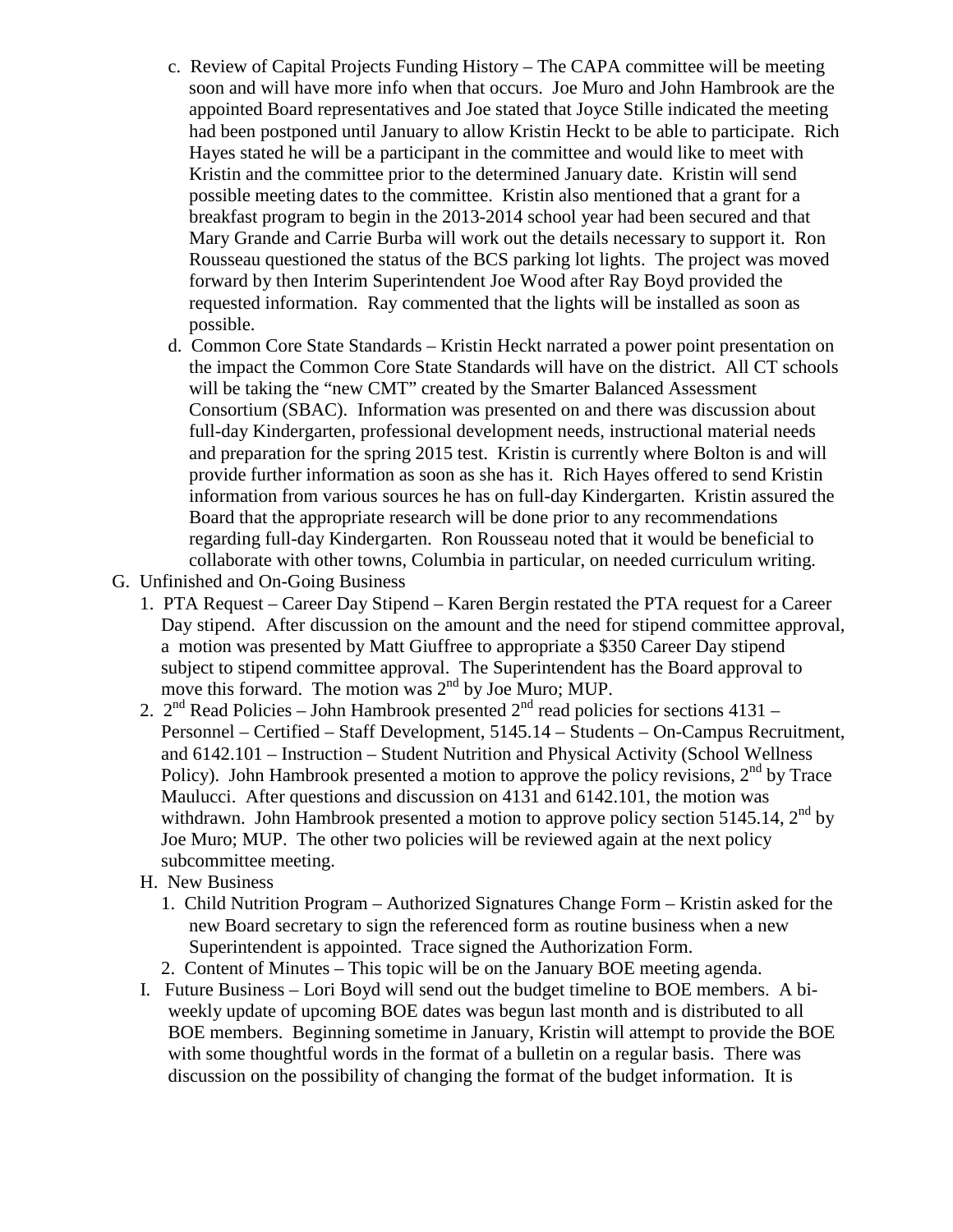- c. Review of Capital Projects Funding History The CAPA committee will be meeting soon and will have more info when that occurs. Joe Muro and John Hambrook are the appointed Board representatives and Joe stated that Joyce Stille indicated the meeting had been postponed until January to allow Kristin Heckt to be able to participate. Rich Hayes stated he will be a participant in the committee and would like to meet with Kristin and the committee prior to the determined January date. Kristin will send possible meeting dates to the committee. Kristin also mentioned that a grant for a breakfast program to begin in the 2013-2014 school year had been secured and that Mary Grande and Carrie Burba will work out the details necessary to support it. Ron Rousseau questioned the status of the BCS parking lot lights. The project was moved forward by then Interim Superintendent Joe Wood after Ray Boyd provided the requested information. Ray commented that the lights will be installed as soon as possible.
- d. Common Core State Standards Kristin Heckt narrated a power point presentation on the impact the Common Core State Standards will have on the district. All CT schools will be taking the "new CMT" created by the Smarter Balanced Assessment Consortium (SBAC). Information was presented on and there was discussion about full-day Kindergarten, professional development needs, instructional material needs and preparation for the spring 2015 test. Kristin is currently where Bolton is and will provide further information as soon as she has it. Rich Hayes offered to send Kristin information from various sources he has on full-day Kindergarten. Kristin assured the Board that the appropriate research will be done prior to any recommendations regarding full-day Kindergarten. Ron Rousseau noted that it would be beneficial to collaborate with other towns, Columbia in particular, on needed curriculum writing.
- G. Unfinished and On-Going Business
	- 1. PTA Request Career Day Stipend Karen Bergin restated the PTA request for a Career Day stipend. After discussion on the amount and the need for stipend committee approval, a motion was presented by Matt Giuffree to appropriate a \$350 Career Day stipend subject to stipend committee approval. The Superintendent has the Board approval to move this forward. The motion was 2<sup>nd</sup> by Joe Muro; MUP.
	- 2.  $2^{nd}$  Read Policies John Hambrook presented  $2^{nd}$  read policies for sections 4131 Personnel – Certified – Staff Development, 5145.14 – Students – On-Campus Recruitment, and 6142.101 – Instruction – Student Nutrition and Physical Activity (School Wellness Policy). John Hambrook presented a motion to approve the policy revisions,  $2<sup>nd</sup>$  by Trace Maulucci. After questions and discussion on 4131 and 6142.101, the motion was withdrawn. John Hambrook presented a motion to approve policy section 5145.14,  $2<sup>nd</sup>$  by Joe Muro; MUP. The other two policies will be reviewed again at the next policy subcommittee meeting.
	- H. New Business
		- 1. Child Nutrition Program Authorized Signatures Change Form Kristin asked for the new Board secretary to sign the referenced form as routine business when a new Superintendent is appointed. Trace signed the Authorization Form.
		- 2. Content of Minutes This topic will be on the January BOE meeting agenda.
	- I. Future Business Lori Boyd will send out the budget timeline to BOE members. A biweekly update of upcoming BOE dates was begun last month and is distributed to all BOE members. Beginning sometime in January, Kristin will attempt to provide the BOE with some thoughtful words in the format of a bulletin on a regular basis. There was discussion on the possibility of changing the format of the budget information. It is